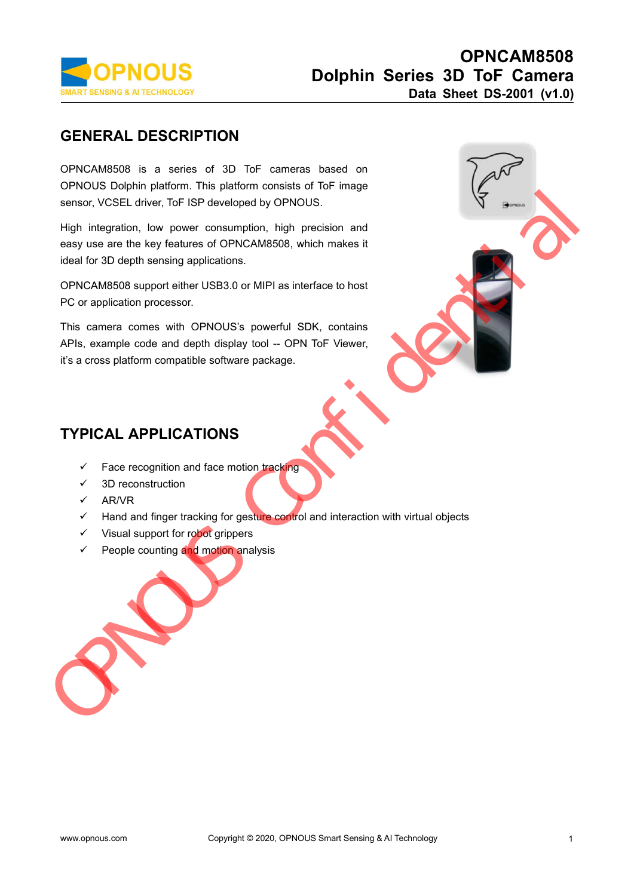

**GENERAL DESCRIPTION**<br> **GENERAL DESCRIPTION**<br> **GENERAL DESCRIPTION**<br> **GENERAL DESCRIPTION**<br> **GENERAL DESCRIPTION**<br> **GENERAL DESCRIPTION**<br>
SPINOUS Dolphin platform. This platform consists of ToF image<br>
sensor, VCSEL driver, **OPNOUS**<br> **Dolphin Series 3D ToF**<br>
Data Sheet DS-2<br>
GENERAL DESCRIPTION<br>
OPNCAM8508 is a series of 3D ToF cameras based on<br>
OPNOUS Dolphin platform. This platform consists of ToF image<br>
Sensor, VCSEL driver, ToF ISP develo **OPNOUS**<br>
Dolphin Series 3D Tof<br>
Data Sheet DS<br>
GENERAL DESCRIPTION<br>
OPNOUS Bolphin platform. This platform consists of ToF image<br>
Sensor, VCSEL driver, ToF ISP developed by OPNOUS.<br>
High integration, low power consumption **SENERAL DESCRIPTION**<br> **SENERAL DESCRIPTION**<br>
OPNCAM8508 is a series of 3D ToF cameras based on<br>
OPNOUS Dolphin platform. This platform consists of ToF image<br>
sensor, VCSEL driver, ToF ISP developed by OPNOUS.<br>
High integr **GENERAL DESCRIPTION**<br>
OPNCAM8508 is a series of 3D ToF cameras based<br>
OPNOUS Dolphin platform. This platform consists of ToF ir<br>
sensor, VCSEL driver, ToF ISP developed by OPNOUS.<br>
High integration, low power consumption, OPNCAM8508 is a series of 3D ToF camera<br>OPNOUS Dolphin platform. This platform consists<br>sensor, VCSEL driver, ToF ISP developed by OPNC<br>High integration, low power consumption, high |<br>easy use are the key features of OPNCA

sensor, vessel driver, for for the developed by OPNOOS.<br>
High integration, low power consumption, high precision and<br>
easy use are the key features of OPNCAM8508, which makes it<br>
ideal for 3D depth sensing applications.<br>
O High integration, low power consumption, high precision and<br>easy use are the key features of OPNCAM8508, which makes it<br>ideal for 3D depth sensing applications.<br>OPNCAM8508 support either USB3.0 or MIPI as interface to host

Face recognition and face motion tracking<br>
Face recognition and face motion tracking<br>
FACAL APPLICATIONS<br>
Face recognition and face motion tracking<br>
FACAL APPLICATIONS<br>
Face recognition and face motion tracking<br>
FACAL APPL  $\ddot{\text{s}}$ , example code and depth display tool -- OF<br>
a cross platform compatible software package.<br>  $\blacktriangleright$  Face recognition and face motion tracking<br>  $\angle$  3D reconstruction<br>  $\angle$  AR/VR<br>  $\angle$  Hand and finger tracking for



- 
- 
- $\times$  AR/VR
- PICAL APPLICATIONS<br>
V Face recognition and face motion tracking<br>
V 3D reconstruction<br>
V Hand and finger tracking for gesture control and interactio<br>
V Visual support for robot grippers<br>
V People counting and motion analysi PICAL APPLICATIONS<br>
Y Face recognition and face motion tracking<br>
Y 3D reconstruction<br>
Y Hand and finger tracking for gesture control and interaction wit<br>
Y Visual support for robot grippers<br>
Y People counting and motion an
- 
-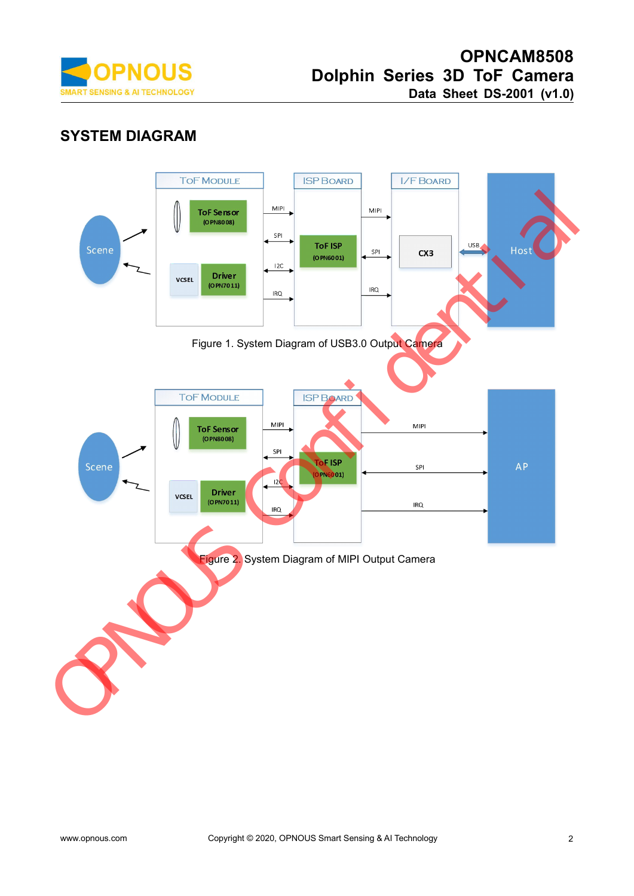

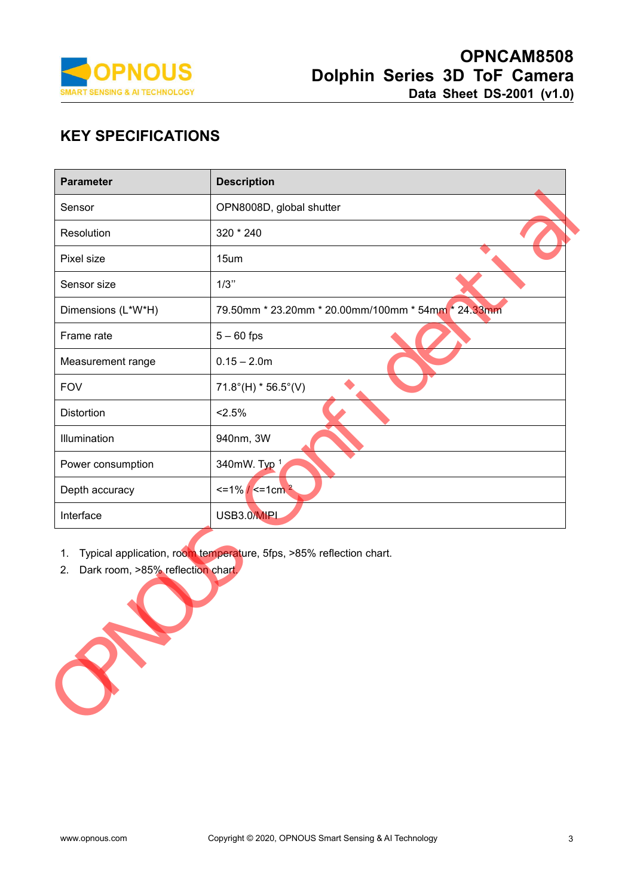

| <b>PNOUS</b><br>Dolphin Series 3D ToF Camera<br>Data Sheet DS-2001 (v1.0)<br><b>AI TECHNOLOGY</b><br><b>KEY SPECIFICATIONS</b> |                                                    |  |  |  |
|--------------------------------------------------------------------------------------------------------------------------------|----------------------------------------------------|--|--|--|
| <b>Parameter</b>                                                                                                               | <b>Description</b>                                 |  |  |  |
| Sensor                                                                                                                         | OPN8008D, global shutter                           |  |  |  |
| Resolution                                                                                                                     | 320 * 240                                          |  |  |  |
| Pixel size                                                                                                                     | 15um                                               |  |  |  |
| Sensor size                                                                                                                    | 1/3"                                               |  |  |  |
| Dimensions (L*W*H)                                                                                                             | 79.50mm * 23.20mm * 20.00mm/100mm * 54mm * 24.33mm |  |  |  |
| Frame rate                                                                                                                     | $5 - 60$ fps                                       |  |  |  |
| Measurement range                                                                                                              | $0.15 - 2.0m$                                      |  |  |  |
| <b>FOV</b>                                                                                                                     | $71.8^{\circ}$ (H) * 56.5°(V)                      |  |  |  |
| Distortion                                                                                                                     | < 2.5%                                             |  |  |  |
| Illumination                                                                                                                   | 940nm, 3W                                          |  |  |  |
| Power consumption                                                                                                              | 340mW. Typ 1                                       |  |  |  |
| Depth accuracy                                                                                                                 | $\epsilon$ =1% / $\epsilon$ =1cm <sup>2</sup>      |  |  |  |
| Interface                                                                                                                      | USB3.0/MIPI                                        |  |  |  |

- 
- 

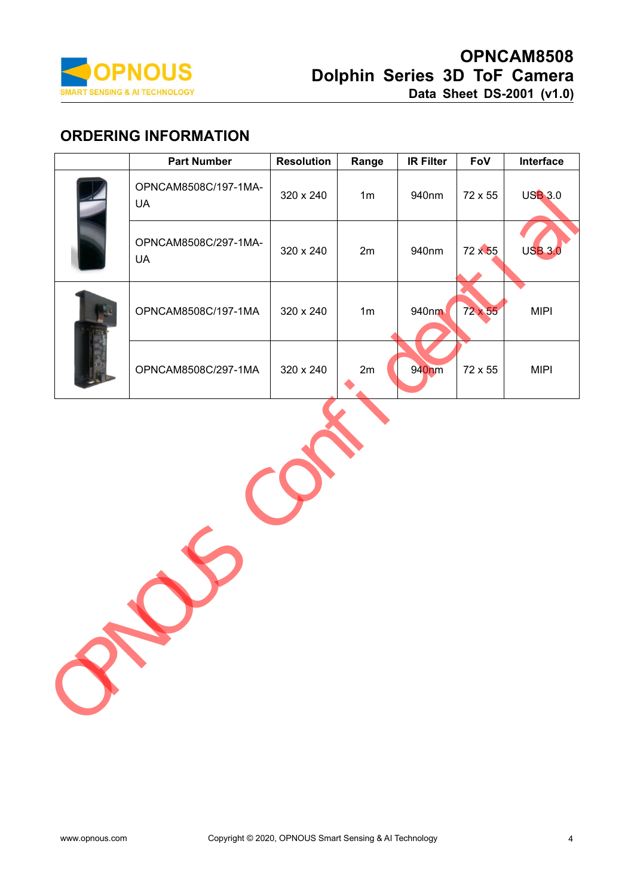

| <b>ORDERING INFORMATION</b><br><b>Part Number</b> | <b>Resolution</b> | Range          | <b>IR Filter</b> | FoV     | Interface      |
|---------------------------------------------------|-------------------|----------------|------------------|---------|----------------|
| OPNCAM8508C/197-1MA-<br><b>UA</b>                 | 320 x 240         | 1 <sub>m</sub> | 940nm            | 72 x 55 | <b>USB 3.0</b> |
| OPNCAM8508C/297-1MA-<br><b>UA</b>                 | 320 x 240         | 2m             | 940nm            | 72 x 55 | <b>USB 3.0</b> |
| OPNCAM8508C/197-1MA                               | 320 x 240         | 1 <sub>m</sub> | 940nm            | 72 x 55 | <b>MIPI</b>    |
| OPNCAM8508C/297-1MA                               | 320 x 240         | 2m             | 940nm            | 72 x 55 | <b>MIPI</b>    |
|                                                   |                   |                |                  |         |                |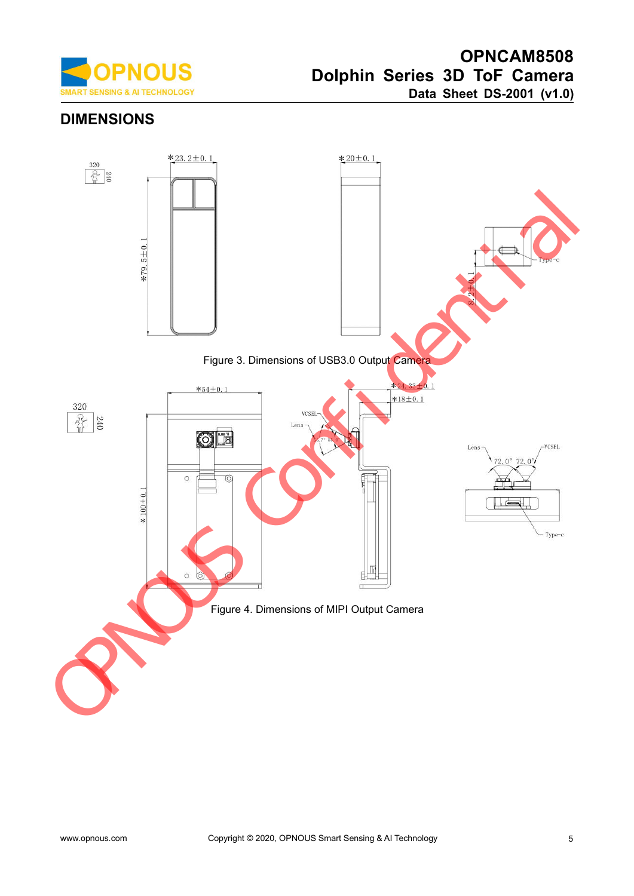

# **DIMENSIONS**